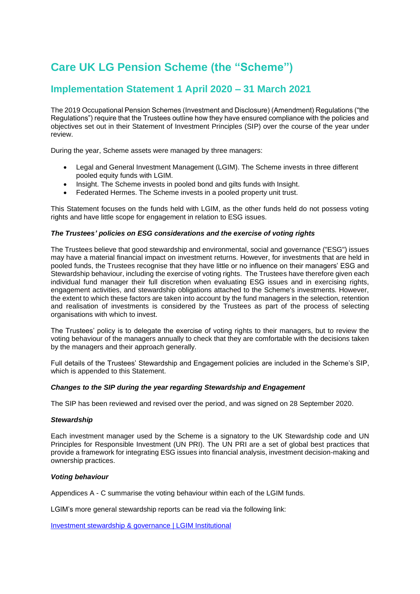# **Care UK LG Pension Scheme (the "Scheme")**

# **Implementation Statement 1 April 2020 – 31 March 2021**

The 2019 Occupational Pension Schemes (Investment and Disclosure) (Amendment) Regulations ("the Regulations") require that the Trustees outline how they have ensured compliance with the policies and objectives set out in their Statement of Investment Principles (SIP) over the course of the year under review.

During the year, Scheme assets were managed by three managers:

- Legal and General Investment Management (LGIM). The Scheme invests in three different pooled equity funds with LGIM.
- Insight. The Scheme invests in pooled bond and gilts funds with Insight.
- Federated Hermes. The Scheme invests in a pooled property unit trust.

This Statement focuses on the funds held with LGIM, as the other funds held do not possess voting rights and have little scope for engagement in relation to ESG issues.

#### *The Trustees' policies on ESG considerations and the exercise of voting rights*

The Trustees believe that good stewardship and environmental, social and governance ("ESG") issues may have a material financial impact on investment returns. However, for investments that are held in pooled funds, the Trustees recognise that they have little or no influence on their managers' ESG and Stewardship behaviour, including the exercise of voting rights. The Trustees have therefore given each individual fund manager their full discretion when evaluating ESG issues and in exercising rights, engagement activities, and stewardship obligations attached to the Scheme's investments. However, the extent to which these factors are taken into account by the fund managers in the selection, retention and realisation of investments is considered by the Trustees as part of the process of selecting organisations with which to invest.

The Trustees' policy is to delegate the exercise of voting rights to their managers, but to review the voting behaviour of the managers annually to check that they are comfortable with the decisions taken by the managers and their approach generally.

Full details of the Trustees' Stewardship and Engagement policies are included in the Scheme's SIP, which is appended to this Statement.

#### *Changes to the SIP during the year regarding Stewardship and Engagement*

The SIP has been reviewed and revised over the period, and was signed on 28 September 2020.

#### *Stewardship*

Each investment manager used by the Scheme is a signatory to the UK Stewardship code and UN Principles for Responsible Investment (UN PRI). The UN PRI are a set of global best practices that provide a framework for integrating ESG issues into financial analysis, investment decision-making and ownership practices.

#### *Voting behaviour*

Appendices A - C summarise the voting behaviour within each of the LGIM funds.

LGIM's more general stewardship reports can be read via the following link:

[Investment stewardship & governance | LGIM Institutional](https://www.lgim.com/uk/en/capabilities/investment-stewardship/)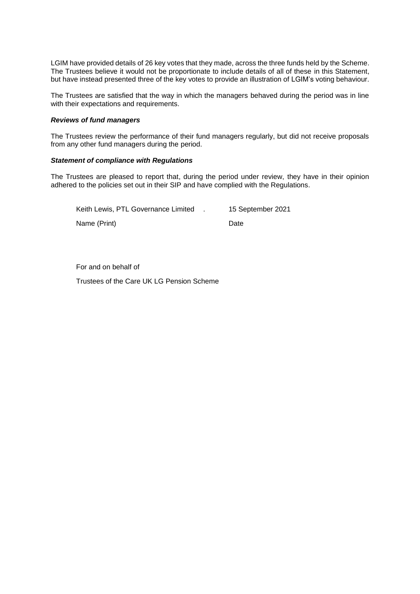LGIM have provided details of 26 key votes that they made, across the three funds held by the Scheme. The Trustees believe it would not be proportionate to include details of all of these in this Statement, but have instead presented three of the key votes to provide an illustration of LGIM's voting behaviour.

The Trustees are satisfied that the way in which the managers behaved during the period was in line with their expectations and requirements.

#### *Reviews of fund managers*

The Trustees review the performance of their fund managers regularly, but did not receive proposals from any other fund managers during the period.

#### *Statement of compliance with Regulations*

The Trustees are pleased to report that, during the period under review, they have in their opinion adhered to the policies set out in their SIP and have complied with the Regulations.

| Keith Lewis, PTL Governance Limited | 15 September 2021 |
|-------------------------------------|-------------------|
| Name (Print)                        | Date              |

For and on behalf of

Trustees of the Care UK LG Pension Scheme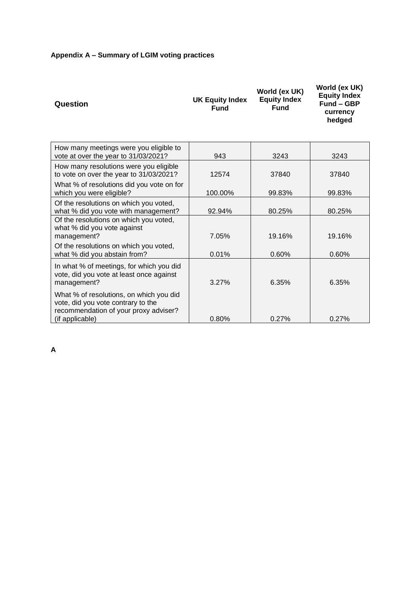# **Appendix A – Summary of LGIM voting practices**

| Question                                                                                                                                  | <b>UK Equity Index</b><br><b>Fund</b> | World (ex UK)<br><b>Equity Index</b><br><b>Fund</b> | World (ex UK)<br><b>Equity Index</b><br><b>Fund - GBP</b><br>currency<br>hedged |
|-------------------------------------------------------------------------------------------------------------------------------------------|---------------------------------------|-----------------------------------------------------|---------------------------------------------------------------------------------|
| How many meetings were you eligible to<br>vote at over the year to 31/03/2021?                                                            | 943                                   | 3243                                                | 3243                                                                            |
| How many resolutions were you eligible<br>to vote on over the year to 31/03/2021?                                                         | 12574                                 | 37840                                               | 37840                                                                           |
| What % of resolutions did you vote on for<br>which you were eligible?                                                                     | 100.00%                               | 99.83%                                              | 99.83%                                                                          |
| Of the resolutions on which you voted,<br>what % did you vote with management?                                                            | 92.94%                                | 80.25%                                              | 80.25%                                                                          |
| Of the resolutions on which you voted,<br>what % did you vote against<br>management?                                                      | 7.05%                                 | 19.16%                                              | 19.16%                                                                          |
| Of the resolutions on which you voted,<br>what % did you abstain from?                                                                    | 0.01%                                 | 0.60%                                               | 0.60%                                                                           |
| In what % of meetings, for which you did<br>vote, did you vote at least once against<br>management?                                       | 3.27%                                 | 6.35%                                               | 6.35%                                                                           |
| What % of resolutions, on which you did<br>vote, did you vote contrary to the<br>recommendation of your proxy adviser?<br>(if applicable) | 0.80%                                 | 0.27%                                               | 0.27%                                                                           |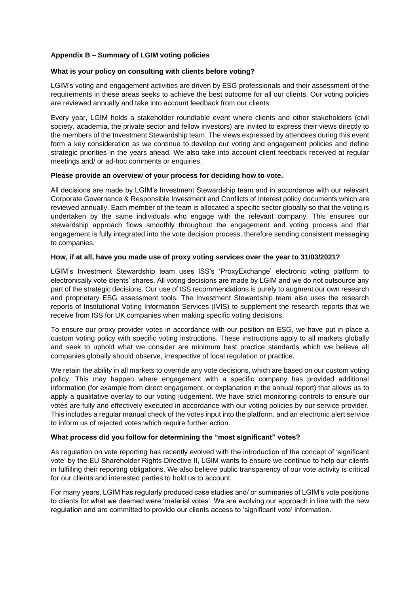#### **Appendix B – Summary of LGIM voting policies**

#### **What is your policy on consulting with clients before voting?**

LGIM's voting and engagement activities are driven by ESG professionals and their assessment of the requirements in these areas seeks to achieve the best outcome for all our clients. Our voting policies are reviewed annually and take into account feedback from our clients.

Every year, LGIM holds a stakeholder roundtable event where clients and other stakeholders (civil society, academia, the private sector and fellow investors) are invited to express their views directly to the members of the Investment Stewardship team. The views expressed by attendees during this event form a key consideration as we continue to develop our voting and engagement policies and define strategic priorities in the years ahead. We also take into account client feedback received at regular meetings and/ or ad-hoc comments or enquiries.

#### **Please provide an overview of your process for deciding how to vote.**

All decisions are made by LGIM's Investment Stewardship team and in accordance with our relevant Corporate Governance & Responsible Investment and Conflicts of Interest policy documents which are reviewed annually. Each member of the team is allocated a specific sector globally so that the voting is undertaken by the same individuals who engage with the relevant company. This ensures our stewardship approach flows smoothly throughout the engagement and voting process and that engagement is fully integrated into the vote decision process, therefore sending consistent messaging to companies.

#### **How, if at all, have you made use of proxy voting services over the year to 31/03/2021?**

LGIM's Investment Stewardship team uses ISS's 'ProxyExchange' electronic voting platform to electronically vote clients' shares. All voting decisions are made by LGIM and we do not outsource any part of the strategic decisions. Our use of ISS recommendations is purely to augment our own research and proprietary ESG assessment tools. The Investment Stewardship team also uses the research reports of Institutional Voting Information Services (IVIS) to supplement the research reports that we receive from ISS for UK companies when making specific voting decisions.

To ensure our proxy provider votes in accordance with our position on ESG, we have put in place a custom voting policy with specific voting instructions. These instructions apply to all markets globally and seek to uphold what we consider are minimum best practice standards which we believe all companies globally should observe, irrespective of local regulation or practice.

We retain the ability in all markets to override any vote decisions, which are based on our custom voting policy. This may happen where engagement with a specific company has provided additional information (for example from direct engagement, or explanation in the annual report) that allows us to apply a qualitative overlay to our voting judgement. We have strict monitoring controls to ensure our votes are fully and effectively executed in accordance with our voting policies by our service provider. This includes a regular manual check of the votes input into the platform, and an electronic alert service to inform us of rejected votes which require further action.

#### **What process did you follow for determining the "most significant" votes?**

As regulation on vote reporting has recently evolved with the introduction of the concept of 'significant vote' by the EU Shareholder Rights Directive II, LGIM wants to ensure we continue to help our clients in fulfilling their reporting obligations. We also believe public transparency of our vote activity is critical for our clients and interested parties to hold us to account.

For many years, LGIM has regularly produced case studies and/ or summaries of LGIM's vote positions to clients for what we deemed were 'material votes'. We are evolving our approach in line with the new regulation and are committed to provide our clients access to 'significant vote' information.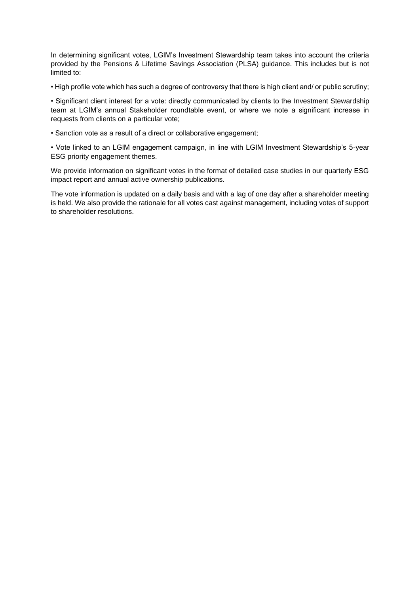In determining significant votes, LGIM's Investment Stewardship team takes into account the criteria provided by the Pensions & Lifetime Savings Association (PLSA) guidance. This includes but is not limited to:

• High profile vote which has such a degree of controversy that there is high client and/ or public scrutiny;

• Significant client interest for a vote: directly communicated by clients to the Investment Stewardship team at LGIM's annual Stakeholder roundtable event, or where we note a significant increase in requests from clients on a particular vote;

• Sanction vote as a result of a direct or collaborative engagement;

• Vote linked to an LGIM engagement campaign, in line with LGIM Investment Stewardship's 5-year ESG priority engagement themes.

We provide information on significant votes in the format of detailed case studies in our quarterly ESG impact report and annual active ownership publications.

The vote information is updated on a daily basis and with a lag of one day after a shareholder meeting is held. We also provide the rationale for all votes cast against management, including votes of support to shareholder resolutions.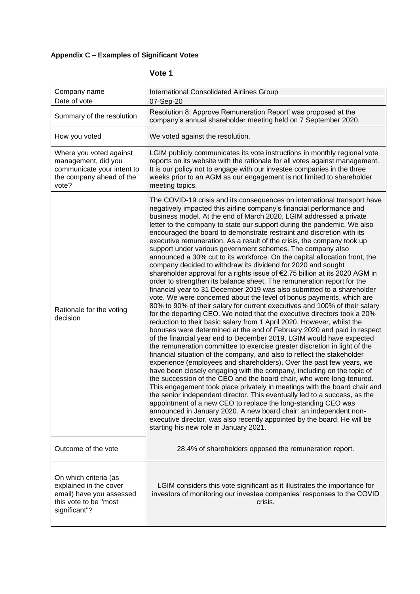# **Appendix C – Examples of Significant Votes**

# **Vote 1**

| Company name                                                                                                          | <b>International Consolidated Airlines Group</b>                                                                                                                                                                                                                                                                                                                                                                                                                                                                                                                                                                                                                                                                                                                                                                                                                                                                                                                                                                                                                                                                                                                                                                                                                                                                                                                                                                                                                                                                                                                                                                                                                                                                                                                                                                                                                                                                                                                                                                                                                                                                                                                           |
|-----------------------------------------------------------------------------------------------------------------------|----------------------------------------------------------------------------------------------------------------------------------------------------------------------------------------------------------------------------------------------------------------------------------------------------------------------------------------------------------------------------------------------------------------------------------------------------------------------------------------------------------------------------------------------------------------------------------------------------------------------------------------------------------------------------------------------------------------------------------------------------------------------------------------------------------------------------------------------------------------------------------------------------------------------------------------------------------------------------------------------------------------------------------------------------------------------------------------------------------------------------------------------------------------------------------------------------------------------------------------------------------------------------------------------------------------------------------------------------------------------------------------------------------------------------------------------------------------------------------------------------------------------------------------------------------------------------------------------------------------------------------------------------------------------------------------------------------------------------------------------------------------------------------------------------------------------------------------------------------------------------------------------------------------------------------------------------------------------------------------------------------------------------------------------------------------------------------------------------------------------------------------------------------------------------|
| Date of vote                                                                                                          | 07-Sep-20                                                                                                                                                                                                                                                                                                                                                                                                                                                                                                                                                                                                                                                                                                                                                                                                                                                                                                                                                                                                                                                                                                                                                                                                                                                                                                                                                                                                                                                                                                                                                                                                                                                                                                                                                                                                                                                                                                                                                                                                                                                                                                                                                                  |
| Summary of the resolution                                                                                             | Resolution 8: Approve Remuneration Report' was proposed at the<br>company's annual shareholder meeting held on 7 September 2020.                                                                                                                                                                                                                                                                                                                                                                                                                                                                                                                                                                                                                                                                                                                                                                                                                                                                                                                                                                                                                                                                                                                                                                                                                                                                                                                                                                                                                                                                                                                                                                                                                                                                                                                                                                                                                                                                                                                                                                                                                                           |
| How you voted                                                                                                         | We voted against the resolution.                                                                                                                                                                                                                                                                                                                                                                                                                                                                                                                                                                                                                                                                                                                                                                                                                                                                                                                                                                                                                                                                                                                                                                                                                                                                                                                                                                                                                                                                                                                                                                                                                                                                                                                                                                                                                                                                                                                                                                                                                                                                                                                                           |
| Where you voted against<br>management, did you<br>communicate your intent to<br>the company ahead of the<br>vote?     | LGIM publicly communicates its vote instructions in monthly regional vote<br>reports on its website with the rationale for all votes against management.<br>It is our policy not to engage with our investee companies in the three<br>weeks prior to an AGM as our engagement is not limited to shareholder<br>meeting topics.                                                                                                                                                                                                                                                                                                                                                                                                                                                                                                                                                                                                                                                                                                                                                                                                                                                                                                                                                                                                                                                                                                                                                                                                                                                                                                                                                                                                                                                                                                                                                                                                                                                                                                                                                                                                                                            |
| Rationale for the voting<br>decision                                                                                  | The COVID-19 crisis and its consequences on international transport have<br>negatively impacted this airline company's financial performance and<br>business model. At the end of March 2020, LGIM addressed a private<br>letter to the company to state our support during the pandemic. We also<br>encouraged the board to demonstrate restraint and discretion with its<br>executive remuneration. As a result of the crisis, the company took up<br>support under various government schemes. The company also<br>announced a 30% cut to its workforce. On the capital allocation front, the<br>company decided to withdraw its dividend for 2020 and sought<br>shareholder approval for a rights issue of €2.75 billion at its 2020 AGM in<br>order to strengthen its balance sheet. The remuneration report for the<br>financial year to 31 December 2019 was also submitted to a shareholder<br>vote. We were concerned about the level of bonus payments, which are<br>80% to 90% of their salary for current executives and 100% of their salary<br>for the departing CEO. We noted that the executive directors took a 20%<br>reduction to their basic salary from 1 April 2020. However, whilst the<br>bonuses were determined at the end of February 2020 and paid in respect<br>of the financial year end to December 2019, LGIM would have expected<br>the remuneration committee to exercise greater discretion in light of the<br>financial situation of the company, and also to reflect the stakeholder<br>experience (employees and shareholders). Over the past few years, we<br>have been closely engaging with the company, including on the topic of<br>the succession of the CEO and the board chair, who were long-tenured.<br>This engagement took place privately in meetings with the board chair and<br>the senior independent director. This eventually led to a success, as the<br>appointment of a new CEO to replace the long-standing CEO was<br>announced in January 2020. A new board chair: an independent non-<br>executive director, was also recently appointed by the board. He will be<br>starting his new role in January 2021. |
| Outcome of the vote                                                                                                   | 28.4% of shareholders opposed the remuneration report.                                                                                                                                                                                                                                                                                                                                                                                                                                                                                                                                                                                                                                                                                                                                                                                                                                                                                                                                                                                                                                                                                                                                                                                                                                                                                                                                                                                                                                                                                                                                                                                                                                                                                                                                                                                                                                                                                                                                                                                                                                                                                                                     |
| On which criteria (as<br>explained in the cover<br>email) have you assessed<br>this vote to be "most<br>significant"? | LGIM considers this vote significant as it illustrates the importance for<br>investors of monitoring our investee companies' responses to the COVID<br>crisis.                                                                                                                                                                                                                                                                                                                                                                                                                                                                                                                                                                                                                                                                                                                                                                                                                                                                                                                                                                                                                                                                                                                                                                                                                                                                                                                                                                                                                                                                                                                                                                                                                                                                                                                                                                                                                                                                                                                                                                                                             |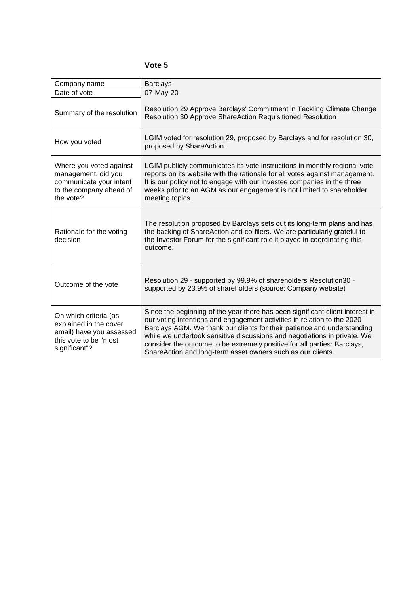### **Vote 5**

| Company name                                                                                                          | <b>Barclays</b>                                                                                                                                                                                                                                                                                                                                                                                                                                            |
|-----------------------------------------------------------------------------------------------------------------------|------------------------------------------------------------------------------------------------------------------------------------------------------------------------------------------------------------------------------------------------------------------------------------------------------------------------------------------------------------------------------------------------------------------------------------------------------------|
| Date of vote                                                                                                          | 07-May-20                                                                                                                                                                                                                                                                                                                                                                                                                                                  |
| Summary of the resolution                                                                                             | Resolution 29 Approve Barclays' Commitment in Tackling Climate Change<br>Resolution 30 Approve ShareAction Requisitioned Resolution                                                                                                                                                                                                                                                                                                                        |
| How you voted                                                                                                         | LGIM voted for resolution 29, proposed by Barclays and for resolution 30,<br>proposed by ShareAction.                                                                                                                                                                                                                                                                                                                                                      |
| Where you voted against<br>management, did you<br>communicate your intent<br>to the company ahead of<br>the vote?     | LGIM publicly communicates its vote instructions in monthly regional vote<br>reports on its website with the rationale for all votes against management.<br>It is our policy not to engage with our investee companies in the three<br>weeks prior to an AGM as our engagement is not limited to shareholder<br>meeting topics.                                                                                                                            |
| Rationale for the voting<br>decision                                                                                  | The resolution proposed by Barclays sets out its long-term plans and has<br>the backing of ShareAction and co-filers. We are particularly grateful to<br>the Investor Forum for the significant role it played in coordinating this<br>outcome.                                                                                                                                                                                                            |
| Outcome of the vote                                                                                                   | Resolution 29 - supported by 99.9% of shareholders Resolution30 -<br>supported by 23.9% of shareholders (source: Company website)                                                                                                                                                                                                                                                                                                                          |
| On which criteria (as<br>explained in the cover<br>email) have you assessed<br>this vote to be "most<br>significant"? | Since the beginning of the year there has been significant client interest in<br>our voting intentions and engagement activities in relation to the 2020<br>Barclays AGM. We thank our clients for their patience and understanding<br>while we undertook sensitive discussions and negotiations in private. We<br>consider the outcome to be extremely positive for all parties: Barclays,<br>ShareAction and long-term asset owners such as our clients. |